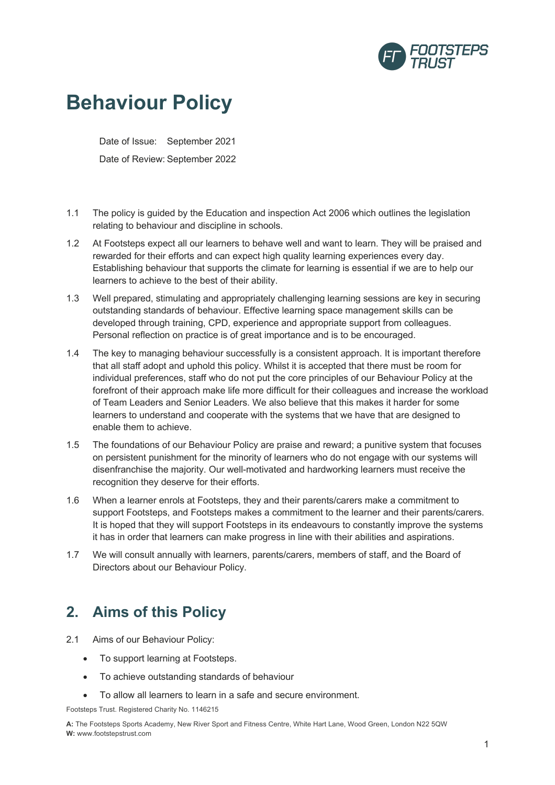

# **Behaviour Policy**

Date of Issue: September 2021 Date of Review: September 2022

- 1.1 The policy is guided by the Education and inspection Act 2006 which outlines the legislation relating to behaviour and discipline in schools.
- 1.2 At Footsteps expect all our learners to behave well and want to learn. They will be praised and rewarded for their efforts and can expect high quality learning experiences every day. Establishing behaviour that supports the climate for learning is essential if we are to help our learners to achieve to the best of their ability.
- 1.3 Well prepared, stimulating and appropriately challenging learning sessions are key in securing outstanding standards of behaviour. Effective learning space management skills can be developed through training, CPD, experience and appropriate support from colleagues. Personal reflection on practice is of great importance and is to be encouraged.
- 1.4 The key to managing behaviour successfully is a consistent approach. It is important therefore that all staff adopt and uphold this policy. Whilst it is accepted that there must be room for individual preferences, staff who do not put the core principles of our Behaviour Policy at the forefront of their approach make life more difficult for their colleagues and increase the workload of Team Leaders and Senior Leaders. We also believe that this makes it harder for some learners to understand and cooperate with the systems that we have that are designed to enable them to achieve.
- 1.5 The foundations of our Behaviour Policy are praise and reward; a punitive system that focuses on persistent punishment for the minority of learners who do not engage with our systems will disenfranchise the majority. Our well-motivated and hardworking learners must receive the recognition they deserve for their efforts.
- 1.6 When a learner enrols at Footsteps, they and their parents/carers make a commitment to support Footsteps, and Footsteps makes a commitment to the learner and their parents/carers. It is hoped that they will support Footsteps in its endeavours to constantly improve the systems it has in order that learners can make progress in line with their abilities and aspirations.
- 1.7 We will consult annually with learners, parents/carers, members of staff, and the Board of Directors about our Behaviour Policy.

# **2. Aims of this Policy**

- 2.1 Aims of our Behaviour Policy:
	- To support learning at Footsteps.
	- To achieve outstanding standards of behaviour
	- To allow all learners to learn in a safe and secure environment.

Footsteps Trust. Registered Charity No. 1146215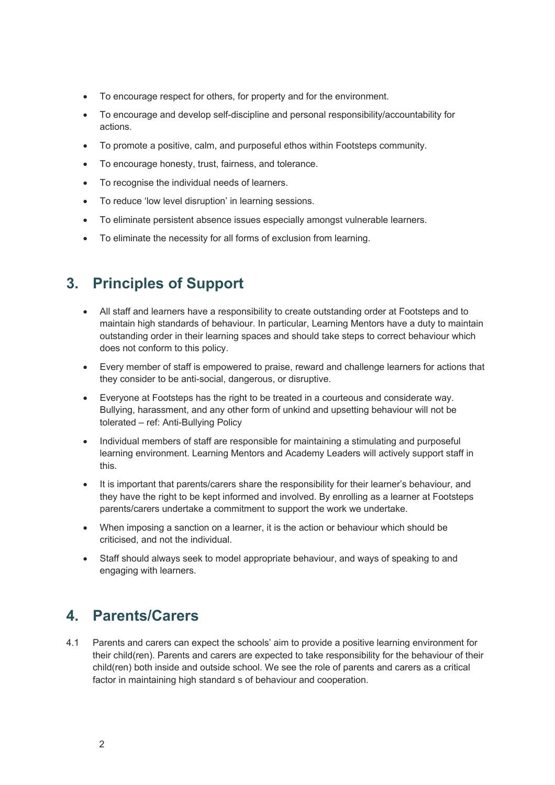- To encourage respect for others, for property and for the environment.
- To encourage and develop self-discipline and personal responsibility/accountability for actions.
- To promote a positive, calm, and purposeful ethos within Footsteps community.
- To encourage honesty, trust, fairness, and tolerance.
- To recognise the individual needs of learners.
- To reduce 'low level disruption' in learning sessions.
- To eliminate persistent absence issues especially amongst vulnerable learners.
- To eliminate the necessity for all forms of exclusion from learning.

# **3. Principles of Support**

- All staff and learners have a responsibility to create outstanding order at Footsteps and to maintain high standards of behaviour. In particular, Learning Mentors have a duty to maintain outstanding order in their learning spaces and should take steps to correct behaviour which does not conform to this policy.
- Every member of staff is empowered to praise, reward and challenge learners for actions that they consider to be anti-social, dangerous, or disruptive.
- Everyone at Footsteps has the right to be treated in a courteous and considerate way. Bullying, harassment, and any other form of unkind and upsetting behaviour will not be tolerated – ref: Anti-Bullying Policy
- Individual members of staff are responsible for maintaining a stimulating and purposeful learning environment. Learning Mentors and Academy Leaders will actively support staff in this.
- It is important that parents/carers share the responsibility for their learner's behaviour, and they have the right to be kept informed and involved. By enrolling as a learner at Footsteps parents/carers undertake a commitment to support the work we undertake.
- When imposing a sanction on a learner, it is the action or behaviour which should be criticised, and not the individual.
- Staff should always seek to model appropriate behaviour, and ways of speaking to and engaging with learners.

#### **4. Parents/Carers**

4.1 Parents and carers can expect the schools' aim to provide a positive learning environment for their child(ren). Parents and carers are expected to take responsibility for the behaviour of their child(ren) both inside and outside school. We see the role of parents and carers as a critical factor in maintaining high standard s of behaviour and cooperation.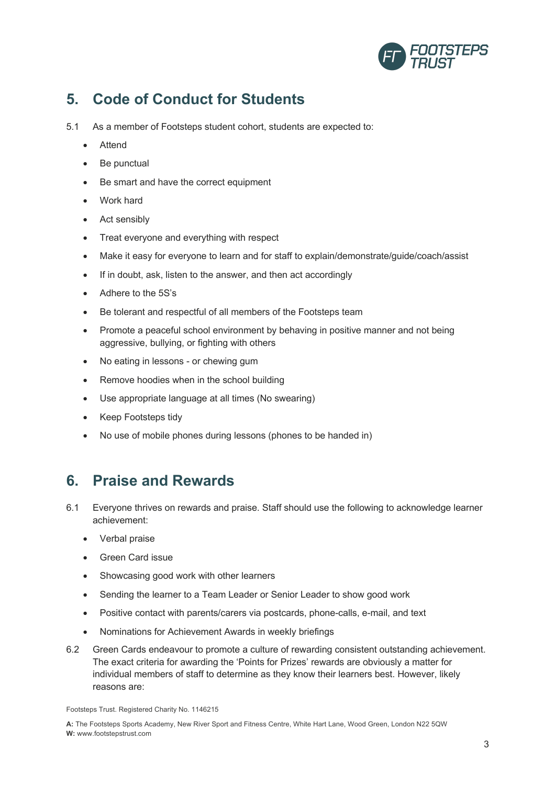

# **5. Code of Conduct for Students**

- 5.1 As a member of Footsteps student cohort, students are expected to:
	- Attend
	- Be punctual
	- Be smart and have the correct equipment
	- Work hard
	- Act sensibly
	- Treat everyone and everything with respect
	- Make it easy for everyone to learn and for staff to explain/demonstrate/guide/coach/assist
	- If in doubt, ask, listen to the answer, and then act accordingly
	- Adhere to the 5S's
	- Be tolerant and respectful of all members of the Footsteps team
	- Promote a peaceful school environment by behaving in positive manner and not being aggressive, bullying, or fighting with others
	- No eating in lessons or chewing gum
	- Remove hoodies when in the school building
	- Use appropriate language at all times (No swearing)
	- Keep Footsteps tidy
	- No use of mobile phones during lessons (phones to be handed in)

#### **6. Praise and Rewards**

- 6.1 Everyone thrives on rewards and praise. Staff should use the following to acknowledge learner achievement:
	- Verbal praise
	- Green Card issue
	- Showcasing good work with other learners
	- Sending the learner to a Team Leader or Senior Leader to show good work
	- Positive contact with parents/carers via postcards, phone-calls, e-mail, and text
	- Nominations for Achievement Awards in weekly briefings
- 6.2 Green Cards endeavour to promote a culture of rewarding consistent outstanding achievement. The exact criteria for awarding the 'Points for Prizes' rewards are obviously a matter for individual members of staff to determine as they know their learners best. However, likely reasons are:

Footsteps Trust. Registered Charity No. 1146215

**A:** The Footsteps Sports Academy, New River Sport and Fitness Centre, White Hart Lane, Wood Green, London N22 5QW **W:** www.footstepstrust.com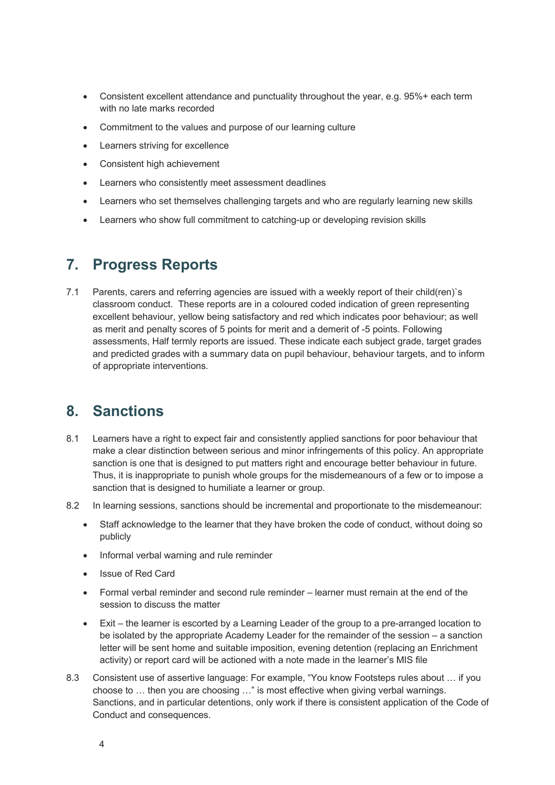- Consistent excellent attendance and punctuality throughout the year, e.g. 95%+ each term with no late marks recorded
- Commitment to the values and purpose of our learning culture
- Learners striving for excellence
- Consistent high achievement
- Learners who consistently meet assessment deadlines
- Learners who set themselves challenging targets and who are regularly learning new skills
- Learners who show full commitment to catching-up or developing revision skills

#### **7. Progress Reports**

7.1 Parents, carers and referring agencies are issued with a weekly report of their child(ren)`s classroom conduct. These reports are in a coloured coded indication of green representing excellent behaviour, yellow being satisfactory and red which indicates poor behaviour; as well as merit and penalty scores of 5 points for merit and a demerit of -5 points. Following assessments, Half termly reports are issued. These indicate each subject grade, target grades and predicted grades with a summary data on pupil behaviour, behaviour targets, and to inform of appropriate interventions.

#### **8. Sanctions**

- 8.1 Learners have a right to expect fair and consistently applied sanctions for poor behaviour that make a clear distinction between serious and minor infringements of this policy. An appropriate sanction is one that is designed to put matters right and encourage better behaviour in future. Thus, it is inappropriate to punish whole groups for the misdemeanours of a few or to impose a sanction that is designed to humiliate a learner or group.
- 8.2 In learning sessions, sanctions should be incremental and proportionate to the misdemeanour:
	- Staff acknowledge to the learner that they have broken the code of conduct, without doing so publicly
	- Informal verbal warning and rule reminder
	- Issue of Red Card
	- Formal verbal reminder and second rule reminder learner must remain at the end of the session to discuss the matter
	- Exit the learner is escorted by a Learning Leader of the group to a pre-arranged location to be isolated by the appropriate Academy Leader for the remainder of the session – a sanction letter will be sent home and suitable imposition, evening detention (replacing an Enrichment activity) or report card will be actioned with a note made in the learner's MIS file
- 8.3 Consistent use of assertive language: For example, "You know Footsteps rules about ... if you choose to … then you are choosing …" is most effective when giving verbal warnings. Sanctions, and in particular detentions, only work if there is consistent application of the Code of Conduct and consequences.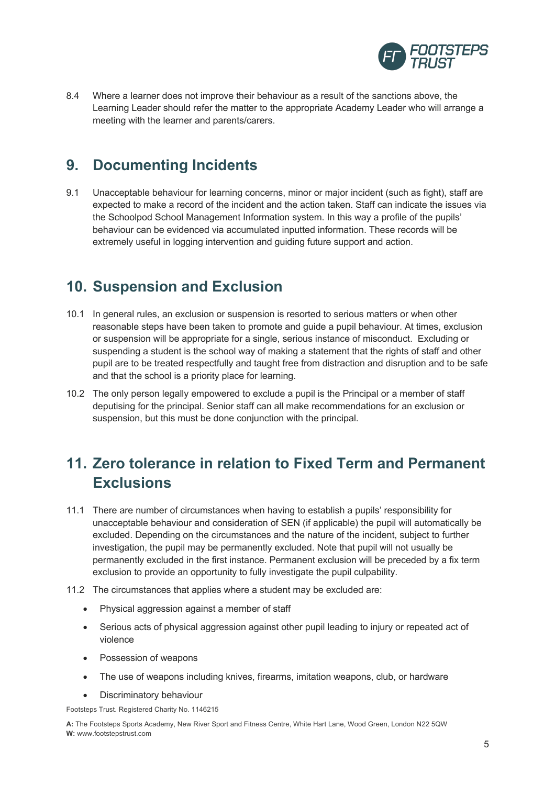

8.4 Where a learner does not improve their behaviour as a result of the sanctions above, the Learning Leader should refer the matter to the appropriate Academy Leader who will arrange a meeting with the learner and parents/carers.

#### **9. Documenting Incidents**

9.1 Unacceptable behaviour for learning concerns, minor or major incident (such as fight), staff are expected to make a record of the incident and the action taken. Staff can indicate the issues via the Schoolpod School Management Information system. In this way a profile of the pupils' behaviour can be evidenced via accumulated inputted information. These records will be extremely useful in logging intervention and guiding future support and action.

### **10. Suspension and Exclusion**

- 10.1 In general rules, an exclusion or suspension is resorted to serious matters or when other reasonable steps have been taken to promote and guide a pupil behaviour. At times, exclusion or suspension will be appropriate for a single, serious instance of misconduct. Excluding or suspending a student is the school way of making a statement that the rights of staff and other pupil are to be treated respectfully and taught free from distraction and disruption and to be safe and that the school is a priority place for learning.
- 10.2 The only person legally empowered to exclude a pupil is the Principal or a member of staff deputising for the principal. Senior staff can all make recommendations for an exclusion or suspension, but this must be done conjunction with the principal.

# **11. Zero tolerance in relation to Fixed Term and Permanent Exclusions**

- 11.1 There are number of circumstances when having to establish a pupils' responsibility for unacceptable behaviour and consideration of SEN (if applicable) the pupil will automatically be excluded. Depending on the circumstances and the nature of the incident, subject to further investigation, the pupil may be permanently excluded. Note that pupil will not usually be permanently excluded in the first instance. Permanent exclusion will be preceded by a fix term exclusion to provide an opportunity to fully investigate the pupil culpability.
- 11.2 The circumstances that applies where a student may be excluded are:
	- Physical aggression against a member of staff
	- Serious acts of physical aggression against other pupil leading to injury or repeated act of violence
	- Possession of weapons
	- The use of weapons including knives, firearms, imitation weapons, club, or hardware
	- Discriminatory behaviour

Footsteps Trust. Registered Charity No. 1146215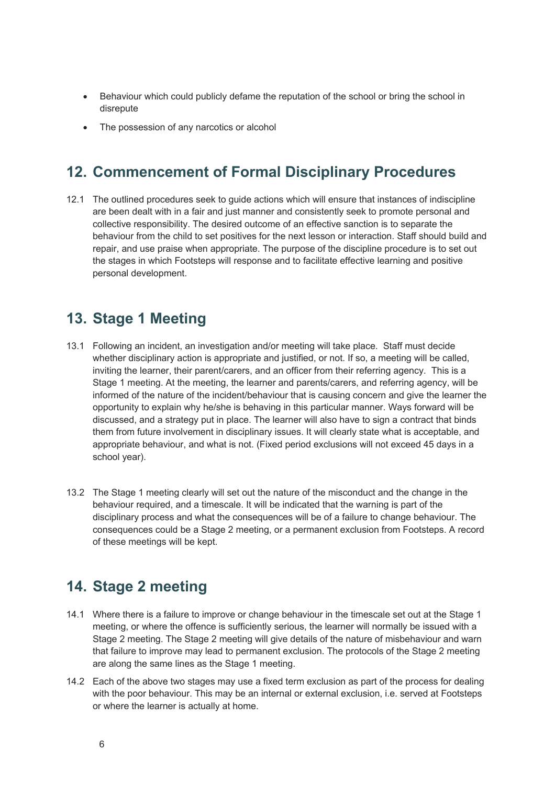- Behaviour which could publicly defame the reputation of the school or bring the school in disrepute
- The possession of any narcotics or alcohol

### **12. Commencement of Formal Disciplinary Procedures**

12.1 The outlined procedures seek to guide actions which will ensure that instances of indiscipline are been dealt with in a fair and just manner and consistently seek to promote personal and collective responsibility. The desired outcome of an effective sanction is to separate the behaviour from the child to set positives for the next lesson or interaction. Staff should build and repair, and use praise when appropriate. The purpose of the discipline procedure is to set out the stages in which Footsteps will response and to facilitate effective learning and positive personal development.

#### **13. Stage 1 Meeting**

- 13.1 Following an incident, an investigation and/or meeting will take place. Staff must decide whether disciplinary action is appropriate and justified, or not. If so, a meeting will be called, inviting the learner, their parent/carers, and an officer from their referring agency. This is a Stage 1 meeting. At the meeting, the learner and parents/carers, and referring agency, will be informed of the nature of the incident/behaviour that is causing concern and give the learner the opportunity to explain why he/she is behaving in this particular manner. Ways forward will be discussed, and a strategy put in place. The learner will also have to sign a contract that binds them from future involvement in disciplinary issues. It will clearly state what is acceptable, and appropriate behaviour, and what is not. (Fixed period exclusions will not exceed 45 days in a school year).
- 13.2 The Stage 1 meeting clearly will set out the nature of the misconduct and the change in the behaviour required, and a timescale. It will be indicated that the warning is part of the disciplinary process and what the consequences will be of a failure to change behaviour. The consequences could be a Stage 2 meeting, or a permanent exclusion from Footsteps. A record of these meetings will be kept.

#### **14. Stage 2 meeting**

- 14.1 Where there is a failure to improve or change behaviour in the timescale set out at the Stage 1 meeting, or where the offence is sufficiently serious, the learner will normally be issued with a Stage 2 meeting. The Stage 2 meeting will give details of the nature of misbehaviour and warn that failure to improve may lead to permanent exclusion. The protocols of the Stage 2 meeting are along the same lines as the Stage 1 meeting.
- 14.2 Each of the above two stages may use a fixed term exclusion as part of the process for dealing with the poor behaviour. This may be an internal or external exclusion, i.e. served at Footsteps or where the learner is actually at home.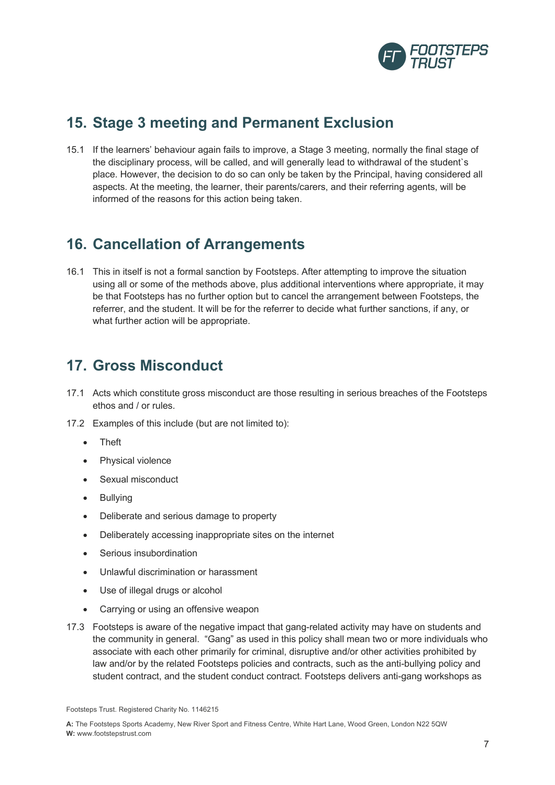

### **15. Stage 3 meeting and Permanent Exclusion**

15.1 If the learners' behaviour again fails to improve, a Stage 3 meeting, normally the final stage of the disciplinary process, will be called, and will generally lead to withdrawal of the student`s place. However, the decision to do so can only be taken by the Principal, having considered all aspects. At the meeting, the learner, their parents/carers, and their referring agents, will be informed of the reasons for this action being taken.

### **16. Cancellation of Arrangements**

16.1 This in itself is not a formal sanction by Footsteps. After attempting to improve the situation using all or some of the methods above, plus additional interventions where appropriate, it may be that Footsteps has no further option but to cancel the arrangement between Footsteps, the referrer, and the student. It will be for the referrer to decide what further sanctions, if any, or what further action will be appropriate.

#### **17. Gross Misconduct**

- 17.1 Acts which constitute gross misconduct are those resulting in serious breaches of the Footsteps ethos and / or rules.
- 17.2 Examples of this include (but are not limited to):
	- Theft
	- Physical violence
	- Sexual misconduct
	- Bullying
	- Deliberate and serious damage to property
	- Deliberately accessing inappropriate sites on the internet
	- Serious insubordination
	- Unlawful discrimination or harassment
	- Use of illegal drugs or alcohol
	- Carrying or using an offensive weapon
- 17.3 Footsteps is aware of the negative impact that gang-related activity may have on students and the community in general. "Gang" as used in this policy shall mean two or more individuals who associate with each other primarily for criminal, disruptive and/or other activities prohibited by law and/or by the related Footsteps policies and contracts, such as the anti-bullying policy and student contract, and the student conduct contract. Footsteps delivers anti-gang workshops as

Footsteps Trust. Registered Charity No. 1146215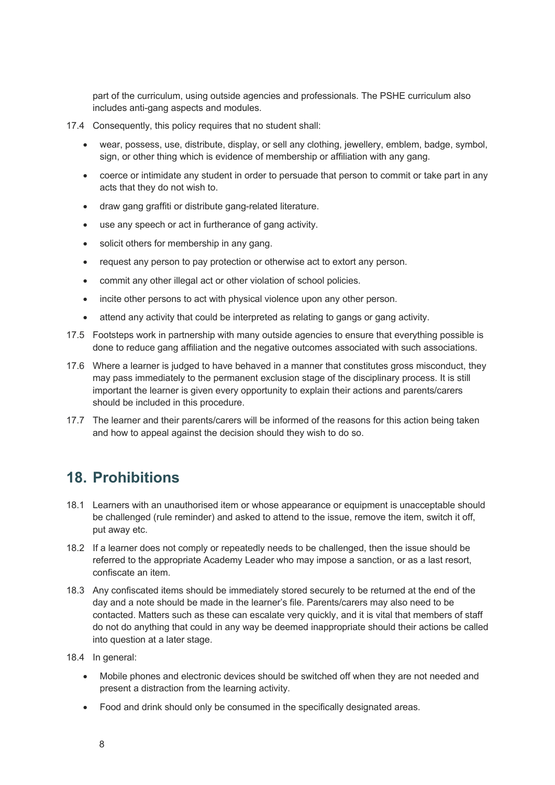part of the curriculum, using outside agencies and professionals. The PSHE curriculum also includes anti-gang aspects and modules.

- 17.4 Consequently, this policy requires that no student shall:
	- wear, possess, use, distribute, display, or sell any clothing, jewellery, emblem, badge, symbol, sign, or other thing which is evidence of membership or affiliation with any gang.
	- coerce or intimidate any student in order to persuade that person to commit or take part in any acts that they do not wish to.
	- draw gang graffiti or distribute gang-related literature.
	- use any speech or act in furtherance of gang activity.
	- solicit others for membership in any gang.
	- request any person to pay protection or otherwise act to extort any person.
	- commit any other illegal act or other violation of school policies.
	- incite other persons to act with physical violence upon any other person.
	- attend any activity that could be interpreted as relating to gangs or gang activity.
- 17.5 Footsteps work in partnership with many outside agencies to ensure that everything possible is done to reduce gang affiliation and the negative outcomes associated with such associations.
- 17.6 Where a learner is judged to have behaved in a manner that constitutes gross misconduct, they may pass immediately to the permanent exclusion stage of the disciplinary process. It is still important the learner is given every opportunity to explain their actions and parents/carers should be included in this procedure.
- 17.7 The learner and their parents/carers will be informed of the reasons for this action being taken and how to appeal against the decision should they wish to do so.

# **18. Prohibitions**

- 18.1 Learners with an unauthorised item or whose appearance or equipment is unacceptable should be challenged (rule reminder) and asked to attend to the issue, remove the item, switch it off, put away etc.
- 18.2 If a learner does not comply or repeatedly needs to be challenged, then the issue should be referred to the appropriate Academy Leader who may impose a sanction, or as a last resort, confiscate an item.
- 18.3 Any confiscated items should be immediately stored securely to be returned at the end of the day and a note should be made in the learner's file. Parents/carers may also need to be contacted. Matters such as these can escalate very quickly, and it is vital that members of staff do not do anything that could in any way be deemed inappropriate should their actions be called into question at a later stage.
- 18.4 In general:
	- Mobile phones and electronic devices should be switched off when they are not needed and present a distraction from the learning activity.
	- Food and drink should only be consumed in the specifically designated areas.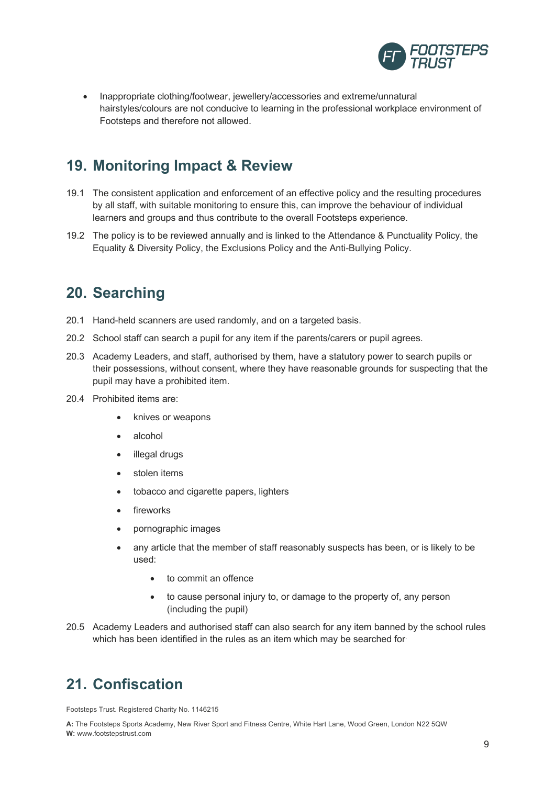

• Inappropriate clothing/footwear, jewellery/accessories and extreme/unnatural hairstyles/colours are not conducive to learning in the professional workplace environment of Footsteps and therefore not allowed.

# **19. Monitoring Impact & Review**

- 19.1 The consistent application and enforcement of an effective policy and the resulting procedures by all staff, with suitable monitoring to ensure this, can improve the behaviour of individual learners and groups and thus contribute to the overall Footsteps experience.
- 19.2 The policy is to be reviewed annually and is linked to the Attendance & Punctuality Policy, the Equality & Diversity Policy, the Exclusions Policy and the Anti-Bullying Policy.

### **20. Searching**

- 20.1 Hand-held scanners are used randomly, and on a targeted basis.
- 20.2 School staff can search a pupil for any item if the parents/carers or pupil agrees.
- 20.3 Academy Leaders, and staff, authorised by them, have a statutory power to search pupils or their possessions, without consent, where they have reasonable grounds for suspecting that the pupil may have a prohibited item.
- 20.4 Prohibited items are:
	- knives or weapons
	- alcohol
	- illegal drugs
	- stolen items
	- tobacco and cigarette papers, lighters
	- fireworks
	- pornographic images
	- any article that the member of staff reasonably suspects has been, or is likely to be used:
		- to commit an offence
		- to cause personal injury to, or damage to the property of, any person (including the pupil)
- 20.5 Academy Leaders and authorised staff can also search for any item banned by the school rules which has been identified in the rules as an item which may be searched for

#### **21. Confiscation**

Footsteps Trust. Registered Charity No. 1146215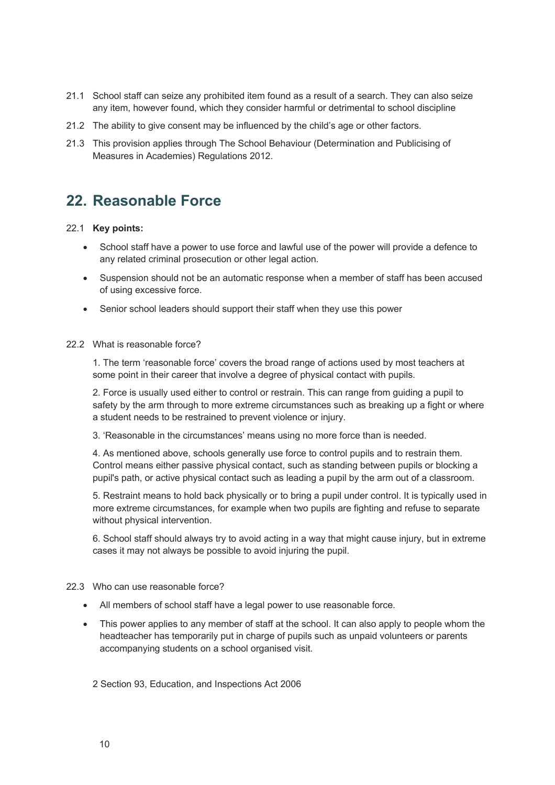- 21.1 School staff can seize any prohibited item found as a result of a search. They can also seize any item, however found, which they consider harmful or detrimental to school discipline
- 21.2 The ability to give consent may be influenced by the child's age or other factors.
- 21.3 This provision applies through The School Behaviour (Determination and Publicising of Measures in Academies) Regulations 2012.

#### **22. Reasonable Force**

#### 22.1 **Key points:**

- School staff have a power to use force and lawful use of the power will provide a defence to any related criminal prosecution or other legal action.
- Suspension should not be an automatic response when a member of staff has been accused of using excessive force.
- Senior school leaders should support their staff when they use this power

#### 22.2 What is reasonable force?

1. The term 'reasonable force' covers the broad range of actions used by most teachers at some point in their career that involve a degree of physical contact with pupils.

2. Force is usually used either to control or restrain. This can range from guiding a pupil to safety by the arm through to more extreme circumstances such as breaking up a fight or where a student needs to be restrained to prevent violence or injury.

3. 'Reasonable in the circumstances' means using no more force than is needed.

4. As mentioned above, schools generally use force to control pupils and to restrain them. Control means either passive physical contact, such as standing between pupils or blocking a pupil's path, or active physical contact such as leading a pupil by the arm out of a classroom.

5. Restraint means to hold back physically or to bring a pupil under control. It is typically used in more extreme circumstances, for example when two pupils are fighting and refuse to separate without physical intervention.

6. School staff should always try to avoid acting in a way that might cause injury, but in extreme cases it may not always be possible to avoid injuring the pupil.

#### 22.3 Who can use reasonable force?

- All members of school staff have a legal power to use reasonable force.
- This power applies to any member of staff at the school. It can also apply to people whom the headteacher has temporarily put in charge of pupils such as unpaid volunteers or parents accompanying students on a school organised visit.

2 Section 93, Education, and Inspections Act 2006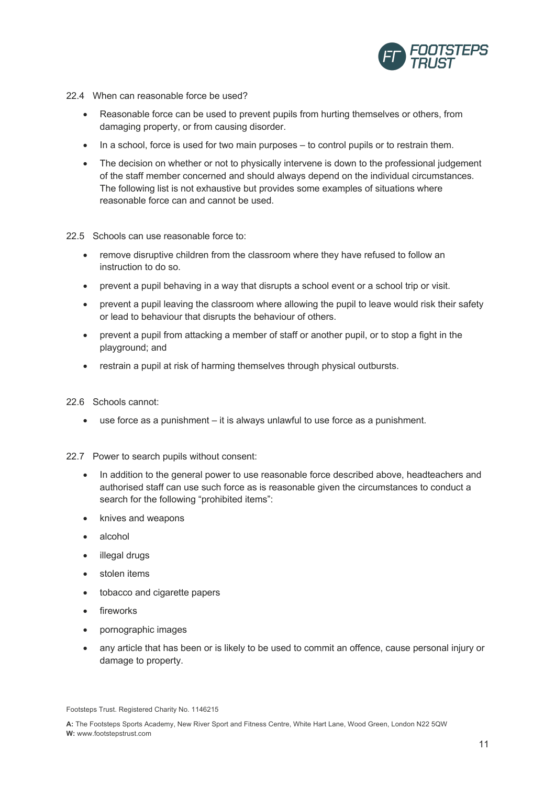

- 22.4 When can reasonable force be used?
	- Reasonable force can be used to prevent pupils from hurting themselves or others, from damaging property, or from causing disorder.
	- In a school, force is used for two main purposes to control pupils or to restrain them.
	- The decision on whether or not to physically intervene is down to the professional judgement of the staff member concerned and should always depend on the individual circumstances. The following list is not exhaustive but provides some examples of situations where reasonable force can and cannot be used.

#### 22.5 Schools can use reasonable force to:

- remove disruptive children from the classroom where they have refused to follow an instruction to do so.
- prevent a pupil behaving in a way that disrupts a school event or a school trip or visit.
- prevent a pupil leaving the classroom where allowing the pupil to leave would risk their safety or lead to behaviour that disrupts the behaviour of others.
- prevent a pupil from attacking a member of staff or another pupil, or to stop a fight in the playground; and
- restrain a pupil at risk of harming themselves through physical outbursts.

#### 22.6 Schools cannot:

- use force as a punishment it is always unlawful to use force as a punishment.
- 22.7 Power to search pupils without consent:
	- In addition to the general power to use reasonable force described above, headteachers and authorised staff can use such force as is reasonable given the circumstances to conduct a search for the following "prohibited items":
	- knives and weapons
	- alcohol
	- illegal drugs
	- stolen items
	- tobacco and cigarette papers
	- fireworks
	- pornographic images
	- any article that has been or is likely to be used to commit an offence, cause personal injury or damage to property.

Footsteps Trust. Registered Charity No. 1146215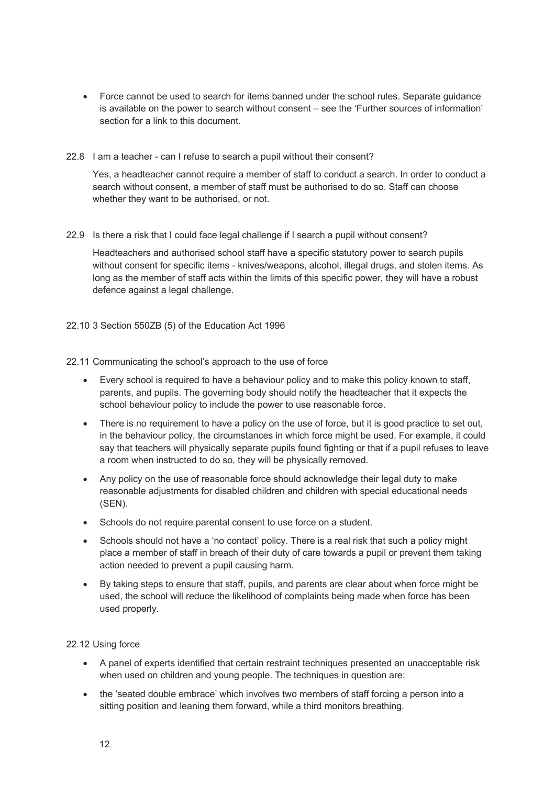- Force cannot be used to search for items banned under the school rules. Separate guidance is available on the power to search without consent – see the 'Further sources of information' section for a link to this document.
- 22.8 I am a teacher can I refuse to search a pupil without their consent?

Yes, a headteacher cannot require a member of staff to conduct a search. In order to conduct a search without consent, a member of staff must be authorised to do so. Staff can choose whether they want to be authorised, or not.

22.9 Is there a risk that I could face legal challenge if I search a pupil without consent?

Headteachers and authorised school staff have a specific statutory power to search pupils without consent for specific items - knives/weapons, alcohol, illegal drugs, and stolen items. As long as the member of staff acts within the limits of this specific power, they will have a robust defence against a legal challenge.

22.10 3 Section 550ZB (5) of the Education Act 1996

#### 22.11 Communicating the school's approach to the use of force

- Every school is required to have a behaviour policy and to make this policy known to staff, parents, and pupils. The governing body should notify the headteacher that it expects the school behaviour policy to include the power to use reasonable force.
- There is no requirement to have a policy on the use of force, but it is good practice to set out, in the behaviour policy, the circumstances in which force might be used. For example, it could say that teachers will physically separate pupils found fighting or that if a pupil refuses to leave a room when instructed to do so, they will be physically removed.
- Any policy on the use of reasonable force should acknowledge their legal duty to make reasonable adjustments for disabled children and children with special educational needs (SEN).
- Schools do not require parental consent to use force on a student.
- Schools should not have a 'no contact' policy. There is a real risk that such a policy might place a member of staff in breach of their duty of care towards a pupil or prevent them taking action needed to prevent a pupil causing harm.
- By taking steps to ensure that staff, pupils, and parents are clear about when force might be used, the school will reduce the likelihood of complaints being made when force has been used properly.

#### 22.12 Using force

- A panel of experts identified that certain restraint techniques presented an unacceptable risk when used on children and young people. The techniques in question are:
- the 'seated double embrace' which involves two members of staff forcing a person into a sitting position and leaning them forward, while a third monitors breathing.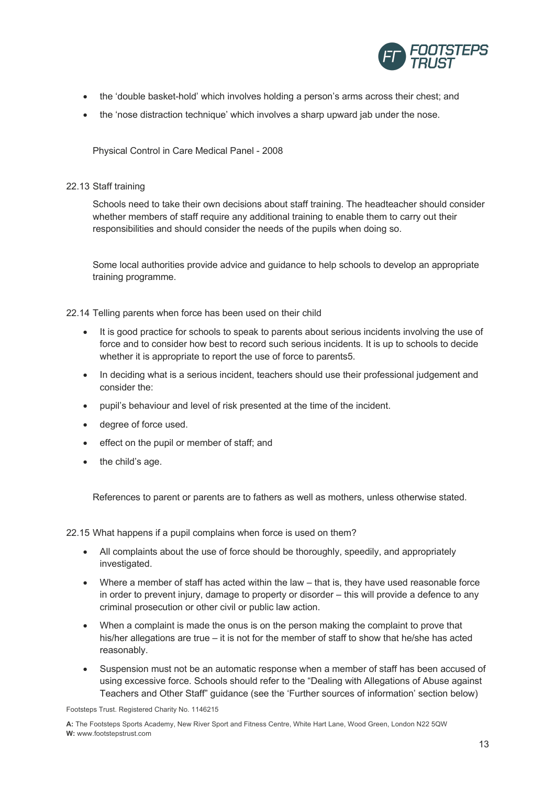

- the 'double basket-hold' which involves holding a person's arms across their chest; and
- the 'nose distraction technique' which involves a sharp upward jab under the nose.

Physical Control in Care Medical Panel - 2008

#### 22.13 Staff training

Schools need to take their own decisions about staff training. The headteacher should consider whether members of staff require any additional training to enable them to carry out their responsibilities and should consider the needs of the pupils when doing so.

Some local authorities provide advice and guidance to help schools to develop an appropriate training programme.

22.14 Telling parents when force has been used on their child

- It is good practice for schools to speak to parents about serious incidents involving the use of force and to consider how best to record such serious incidents. It is up to schools to decide whether it is appropriate to report the use of force to parents5.
- In deciding what is a serious incident, teachers should use their professional judgement and consider the:
- pupil's behaviour and level of risk presented at the time of the incident.
- degree of force used.
- effect on the pupil or member of staff; and
- the child's age.

References to parent or parents are to fathers as well as mothers, unless otherwise stated.

22.15 What happens if a pupil complains when force is used on them?

- All complaints about the use of force should be thoroughly, speedily, and appropriately investigated.
- Where a member of staff has acted within the law that is, they have used reasonable force in order to prevent injury, damage to property or disorder – this will provide a defence to any criminal prosecution or other civil or public law action.
- When a complaint is made the onus is on the person making the complaint to prove that his/her allegations are true – it is not for the member of staff to show that he/she has acted reasonably.
- Suspension must not be an automatic response when a member of staff has been accused of using excessive force. Schools should refer to the "Dealing with Allegations of Abuse against Teachers and Other Staff" guidance (see the 'Further sources of information' section below)

Footsteps Trust. Registered Charity No. 1146215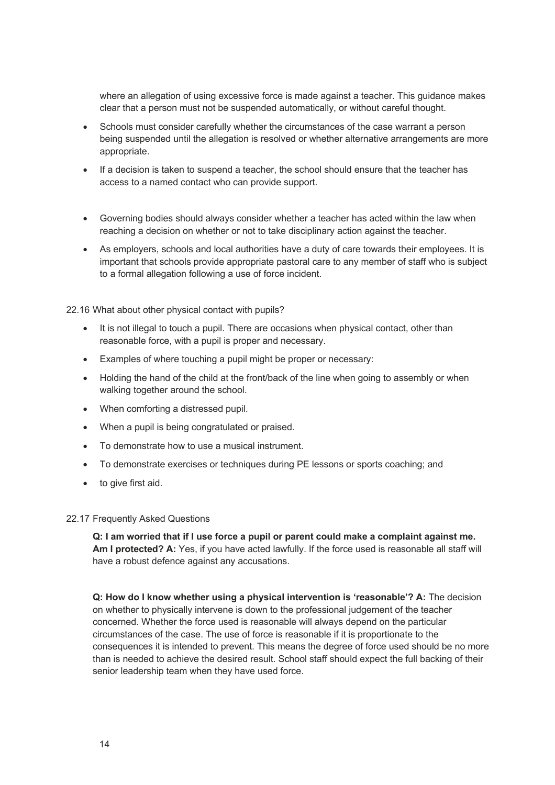where an allegation of using excessive force is made against a teacher. This guidance makes clear that a person must not be suspended automatically, or without careful thought.

- Schools must consider carefully whether the circumstances of the case warrant a person being suspended until the allegation is resolved or whether alternative arrangements are more appropriate.
- If a decision is taken to suspend a teacher, the school should ensure that the teacher has access to a named contact who can provide support.
- Governing bodies should always consider whether a teacher has acted within the law when reaching a decision on whether or not to take disciplinary action against the teacher.
- As employers, schools and local authorities have a duty of care towards their employees. It is important that schools provide appropriate pastoral care to any member of staff who is subject to a formal allegation following a use of force incident.

22.16 What about other physical contact with pupils?

- It is not illegal to touch a pupil. There are occasions when physical contact, other than reasonable force, with a pupil is proper and necessary.
- Examples of where touching a pupil might be proper or necessary:
- Holding the hand of the child at the front/back of the line when going to assembly or when walking together around the school.
- When comforting a distressed pupil.
- When a pupil is being congratulated or praised.
- To demonstrate how to use a musical instrument.
- To demonstrate exercises or techniques during PE lessons or sports coaching; and
- to give first aid.

#### 22.17 Frequently Asked Questions

**Q: I am worried that if I use force a pupil or parent could make a complaint against me. Am I protected? A:** Yes, if you have acted lawfully. If the force used is reasonable all staff will have a robust defence against any accusations.

**Q: How do I know whether using a physical intervention is 'reasonable'? A:** The decision on whether to physically intervene is down to the professional judgement of the teacher concerned. Whether the force used is reasonable will always depend on the particular circumstances of the case. The use of force is reasonable if it is proportionate to the consequences it is intended to prevent. This means the degree of force used should be no more than is needed to achieve the desired result. School staff should expect the full backing of their senior leadership team when they have used force.